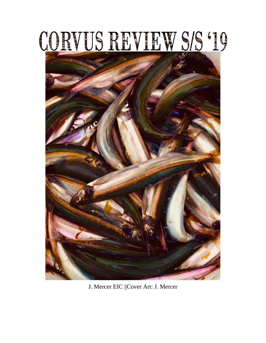# CORVUS REVIEW S/S '19



J. Mercer EIC ||Cover Art: J. Mercer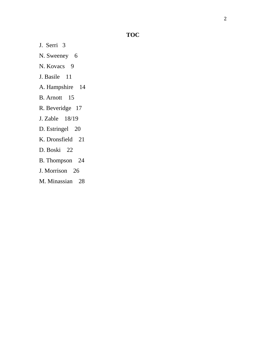**TOC**

- J . Serri 3
- N . Sweeney 6
- N . Kovacs 9
- J . Basile 11
- A. Hampshire 14
- B. Arnott 15
- R. Beveridge 17
- J. Zable 18/19
- D. Estringel 20
- K. Dronsfield 21
- D. Boski 22
- B. Thompson 24
- J. Morrison 26
- M. Minassian 28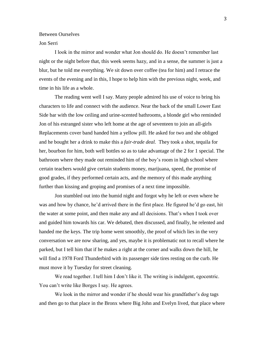#### Between Ourselves

#### Jon Serri

I look in the mirror and wonder what Jon should do. He doesn't remember last night or the night before that, this week seems hazy, and in a sense, the summer is just a blur, but he told me everything. We sit down over coffee (tea for him) and I retrace the events of the evening and in this, I hope to help him with the previous night, week, and time in his life as a whole.

The reading went well I say. Many people admired his use of voice to bring his characters to life and connect with the audience. Near the back of the small Lower East Side bar with the low ceiling and urine-scented bathrooms, a blonde girl who reminded Jon of his estranged sister who left home at the age of seventeen to join an all-girls Replacements cover band handed him a yellow pill. He asked for two and she obliged and he bought her a drink to make this a *fair-trade deal.* They took a shot, tequila for her, bourbon for him, both well bottles so as to take advantage of the 2 for 1 special. The bathroom where they made out reminded him of the boy's room in high school where certain teachers would give certain students money, marijuana, speed, the promise of good grades, if they performed certain acts, and the memory of this made anything further than kissing and groping and promises of a next time impossible.

Jon stumbled out into the humid night and forgot why he left or even where he was and how by chance, he'd arrived there in the first place. He figured he'd go east, hit the water at some point, and then make any and all decisions. That's when I took over and guided him towards his car. We debated, then discussed, and finally, he relented and handed me the keys. The trip home went smoothly, the proof of which lies in the very conversation we are now sharing, and yes, maybe it is problematic not to recall where he parked, but I tell him that if he makes a right at the corner and walks down the hill, he will find a 1978 Ford Thunderbird with its passenger side tires resting on the curb. He must move it by Tuesday for street cleaning.

We read together. I tell him I don't like it. The writing is indulgent, egocentric. You can't write like Borges I say. He agrees.

We look in the mirror and wonder if he should wear his grandfather's dog tags and then go to that place in the Bronx where Big John and Evelyn lived, that place where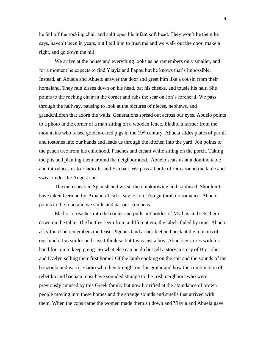he fell off the rocking chair and split open his infant soft head. They won't be there he says, haven't been in years, but I tell him to trust me and we walk out the door, make a right, and go down the hill.

We arrive at the house and everything looks as he remembers only smaller, and for a moment he expects to find Yiayia and Papou but he knows that's impossible. Instead, an Abuela and Abuelo answer the door and greet him like a cousin from their homeland. They rain kisses down on his head, pat his cheeks, and tousle his hair. She points to the rocking chair in the corner and rubs the scar on Jon's forehead. We pass through the hallway, pausing to look at the pictures of nieces, nephews, and grandchildren that adorn the walls. Generations spread out across our eyes. Abuelo points to a photo in the corner of a man sitting on a wooden fence, Eladio, a farmer from the mountains who raised golden-eared pigs in the 19<sup>th</sup> century. Abuela slides plates of pernil and tostones into our hands and leads us through the kitchen into the yard. Jon points to the peach tree from his childhood. Peaches and cream while sitting on the porch. Taking the pits and planting them around the neighborhood. Abuelo seats us at a domino table and introduces us to Eladio Jr. and Esteban. We pass a bottle of rum around the table and sweat under the August sun.

The men speak in Spanish and we sit there unknowing and confused. Shouldn't have taken German for Amanda Tisch I say to Jon. Too guttural, no romance. Abuelo points to the food and we smile and pat our stomachs.

Eladio Jr. reaches into the cooler and pulls out bottles of Mythos and sets them down on the table. The bottles seem from a different era, the labels faded by time. Abuelo asks Jon if he remembers the feast. Pigeons land at our feet and peck at the remains of our lunch. Jon smiles and says I think so but I was just a boy. Abuelo gestures with his hand for Jon to keep going. So what else can he do but tell a story, a story of Big John and Evelyn selling their first home? Of the lamb cooking on the spit and the sounds of the bouzouki and was it Eladio who then brought out his guitar and how the combination of rebetiko and bachata must have sounded strange to the Irish neighbors who were previously amused by this Greek family but now horrified at the abundance of brown people moving into these homes and the strange sounds and smells that arrived with them. When the cops came the women made them sit down and Yiayia and Abuela gave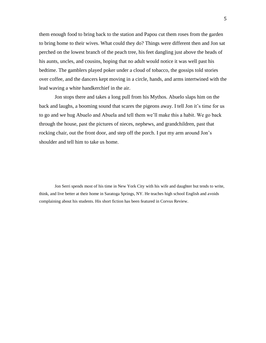them enough food to bring back to the station and Papou cut them roses from the garden to bring home to their wives. What could they do? Things were different then and Jon sat perched on the lowest branch of the peach tree, his feet dangling just above the heads of his aunts, uncles, and cousins, hoping that no adult would notice it was well past his bedtime. The gamblers played poker under a cloud of tobacco, the gossips told stories over coffee, and the dancers kept moving in a circle, hands, and arms intertwined with the lead waving a white handkerchief in the air.

Jon stops there and takes a long pull from his Mythos. Abuelo slaps him on the back and laughs, a booming sound that scares the pigeons away. I tell Jon it's time for us to go and we hug Abuelo and Abuela and tell them we'll make this a habit. We go back through the house, past the pictures of nieces, nephews, and grandchildren, past that rocking chair, out the front door, and step off the porch. I put my arm around Jon's shoulder and tell him to take us home.

Jon Serri spends most of his time in New York City with his wife and daughter but tends to write, think, and live better at their home in Saratoga Springs, NY. He teaches high school English and avoids complaining about his students. His short fiction has been featured in Corvus Review.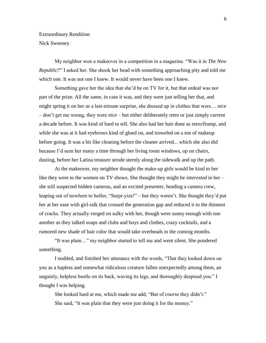My neighbor won a makeover in a competition in a magazine. "Was it in *The New Republic*?" I asked her. She shook her head with something approaching pity and told me which one. It was not one I knew. It would never have been one I knew.

Something gave her the idea that she'd be on TV for it, but that ordeal was not part of the prize. All the same, in case it was, and they were just telling her that, and might spring it on her as a last-minute surprise, she dressed up in clothes that were… *nice* – don't get me wrong, they were *nice* – but either deliberately retro or just simply current a decade before. It was kind of hard to tell. She also had her hair done as retro/frump, and while she was at it had eyebrows kind of glued on, and troweled on a ton of makeup before going. It was a bit like cleaning before the cleaner arrived... which she also did because I'd seen her many a time through her living room windows, up on chairs, dusting, before her Latina treasure strode sternly along the sidewalk and up the path.

At the makeover, my neighbor thought the make-up girls would be kind to her like they were to the women on TV shows. She thought they might be *interested* in her – she still suspected hidden cameras, and an excited presenter, heading a camera crew, leaping out of nowhere to holler, "Surpi-yize!" – but they weren't. She thought they'd put her at her ease with girl-talk that crossed the generation gap and reduced it to the thinnest of cracks. They actually verged on sulky with her, though were sunny enough with one another as they talked soaps and clubs and boys and clothes, crazy cocktails, and a rumored new shade of hair color that would take overheads in the coming months.

"It was plain…" my neighbor started to tell me and went silent. She pondered something.

I nodded, and finished her utterance with the words, "That they looked down on you as a hapless and somewhat ridiculous creature fallen unexpectedly among them, an ungainly, helpless beetle on its back, waving its legs, and thoroughly despised you." I thought I was helping.

She looked hard at me, which made me add, "But of *course* they didn't." She said, "It was plain that they were just doing it for the money."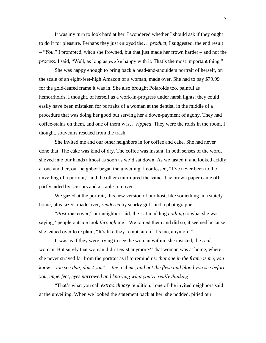It was my turn to look hard at her. I wondered whether I should ask if they ought to do it for pleasure. Perhaps they just enjoyed the… *product*, I suggested, the end result – "*You*," I prompted, when she frowned, but that just made her frown harder – and not the *process*. I said, "Well, as long as *you're* happy with it. That's the most important thing."

She was happy enough to bring back a head-and-shoulders portrait of herself, on the scale of an eight-feet-high Amazon of a woman, made over. She had to pay \$79.99 for the gold-leafed frame it was in. She also brought Polaroids too, painful as hemorrhoids, I thought, of herself as a work-in-progress under harsh lights; they could easily have been mistaken for portraits of a woman at the dentist, in the middle of a procedure that was doing her good but serving her a down-payment of agony. They had coffee-stains on them, and one of them was… *rippled*. They were the roids in the room, I thought, souvenirs rescued from the trash.

She invited me and our other neighbors in for coffee and cake. She had never done that. The cake was kind of dry. The coffee was instant, in both senses of the word, shoved into our hands almost as soon as we'd sat down. As we tasted it and looked acidly at one another, our neighbor began the unveiling. I confessed, "I've never been to the unveiling of a portrait," and the others murmured the same. The brown paper came off, partly aided by scissors and a staple-remover.

We gazed at the portrait, this new version of our host, like something in a stately home, plus-sized, made over, *rendered* by snarky girls and a photographer.

"*Post*-makeover," our neighbor said, the Latin adding *nothing* to what she was saying, "people outside look *through* me." We joined them and did so, it seemed because she leaned over to explain, "It's like they're not sure if it's me, anymore."

It was as if they were trying to see the woman within, she insisted, the *real* woman. But surely that woman didn't exist anymore? That woman was at home, where she never strayed far from the portrait as if to remind us: *that one in the frame is me, you know – you* see *that, don't you? – the* real *me, and not the flesh and blood you see before you, imperfect, eyes narrowed and knowing what you're really thinking.*

"That's what you call *extraordinary* rendition," one of the invited neighbors said at the unveiling. When we looked the statement back at her, she nodded, pitied our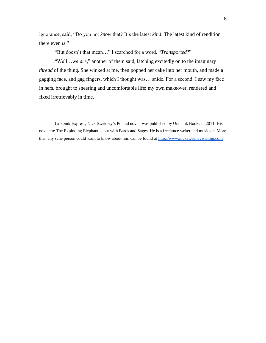ignorance, said, "Do you not *know* that? It's the latest *kind*. The latest kind of rendition there even *is*."

"But doesn't that mean…" I searched for a word. "*Transported*?"

"Well…we *are*," another of them said, latching excitedly on to the imaginary *thread* of the thing. She winked at me, then popped her cake into her mouth, and made a gagging face, and gag fingers, which I thought was… snide. For a second, I saw my face in hers, brought to sneering and uncomfortable life; my own makeover, rendered and fixed irretrievably in time.

Laikonik Express, Nick Sweeney's Poland novel, was published by Unthank Books in 2011. His novelette The Exploding Elephant is out with Bards and Sages. He is a freelance writer and musician. More than any sane person could want to know about him can be found at [http://www.nicksweeneywriting.com](http://www.nicksweeneywriting.com/)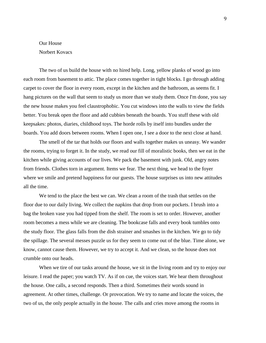## Our House Norbert Kovacs

The two of us build the house with no hired help. Long, yellow planks of wood go into each room from basement to attic. The place comes together in tight blocks. I go through adding carpet to cover the floor in every room, except in the kitchen and the bathroom, as seems fit. I hang pictures on the wall that seem to study us more than we study them. Once I'm done, you say the new house makes you feel claustrophobic. You cut windows into the walls to view the fields better. You break open the floor and add cubbies beneath the boards. You stuff these with old keepsakes: photos, diaries, childhood toys. The horde rolls by itself into bundles under the boards. You add doors between rooms. When I open one, I see a door to the next close at hand.

The smell of the tar that holds our floors and walls together makes us uneasy. We wander the rooms, trying to forget it. In the study, we read our fill of moralistic books, then we eat in the kitchen while giving accounts of our lives. We pack the basement with junk. Old, angry notes from friends. Clothes torn in argument. Items we fear. The next thing, we head to the foyer where we smile and pretend happiness for our guests. The house surprises us into new attitudes all the time.

We tend to the place the best we can. We clean a room of the trash that settles on the floor due to our daily living. We collect the napkins that drop from our pockets. I brush into a bag the broken vase you had tipped from the shelf. The room is set to order. However, another room becomes a mess while we are cleaning. The bookcase falls and every book tumbles onto the study floor. The glass falls from the dish strainer and smashes in the kitchen. We go to tidy the spillage. The several messes puzzle us for they seem to come out of the blue. Time alone, we know, cannot cause them. However, we try to accept it. And we clean, so the house does not crumble onto our heads.

When we tire of our tasks around the house, we sit in the living room and try to enjoy our leisure. I read the paper; you watch TV. As if on cue, the voices start. We hear them throughout the house. One calls, a second responds. Then a third. Sometimes their words sound in agreement. At other times, challenge. Or provocation. We try to name and locate the voices, the two of us, the only people actually in the house. The calls and cries move among the rooms in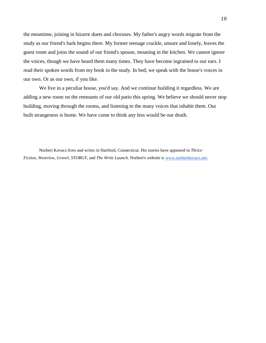the meantime, joining in bizarre duets and choruses. My father's angry words migrate from the study as our friend's bark begins there. My former teenage crackle, unsure and lonely, leaves the guest room and joins the sound of our friend's spouse, moaning in the kitchen. We cannot ignore the voices, though we have heard them many times. They have become ingrained to our ears. I read their spoken words from my book in the study. In bed, we speak with the house's voices in our own. Or as our own, if you like.

We live in a peculiar house, you'd say. And we continue building it regardless. We are adding a new room on the remnants of our old patio this spring. We believe we should never stop building, moving through the rooms, and listening to the many voices that inhabit them. Our built strangeness is home. We have come to think any less would be our death.

Norbert Kovacs lives and writes in Hartford, Connecticut. His stories have appeared in *Thrice Fiction*, *Westview*, *Gravel*, *STORGY*, and *The Write Launch*. Norbert's website is [www.norbertkovacs.net.](http://www.norbertkovacs.net/)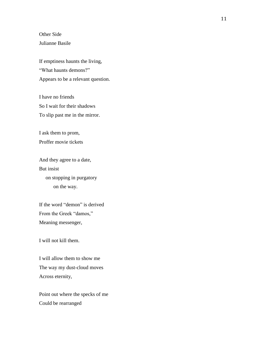Other Side Julianne Basile

If emptiness haunts the living, "What haunts demons?" Appears to be a relevant question.

I have no friends So I wait for their shadows To slip past me in the mirror.

I ask them to prom, Proffer movie tickets

And they agree to a date, But insist on stopping in purgatory on the way.

If the word "demon" is derived From the Greek "damos," Meaning messenger,

I will not kill them.

I will allow them to show me The way my dust-cloud moves Across eternity,

Point out where the specks of me Could be rearranged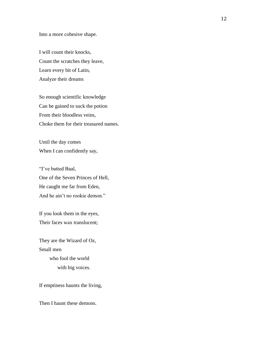Into a more cohesive shape.

I will count their knocks, Count the scratches they leave, Learn every bit of Latin, Analyze their dreams

So enough scientific knowledge Can be gained to suck the potion From their bloodless veins, Choke them for their treasured names.

Until the day comes When I can confidently say,

"I've batted Baal, One of the Seven Princes of Hell, He caught me far from Eden, And he ain't no rookie demon."

If you look them in the eyes, Their faces wax translucent;

They are the Wizard of Oz, Small men who fool the world with big voices.

If emptiness haunts the living,

Then I haunt these demons.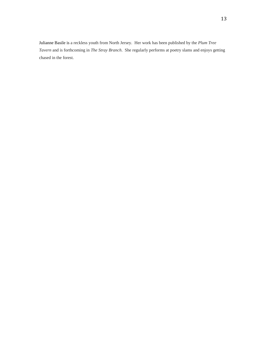Julianne Basile is a reckless youth from North Jersey. Her work has been published by the *Plum Tree Tavern* and is forthcoming in *The Stray Branch*. She regularly performs at poetry slams and enjoys getting chased in the forest.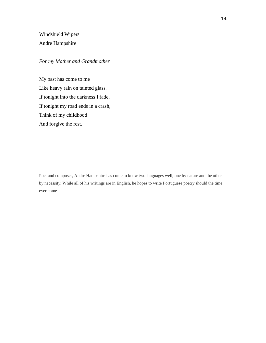Windshield Wipers Andre Hampshire

*For my Mother and Grandmother*

My past has come to me Like heavy rain on tainted glass. If tonight into the darkness I fade, If tonight my road ends in a crash, Think of my childhood And forgive the rest.

Poet and composer, Andre Hampshire has come to know two languages well, one by nature and the other by necessity. While all of his writings are in English, he hopes to write Portuguese poetry should the time ever come.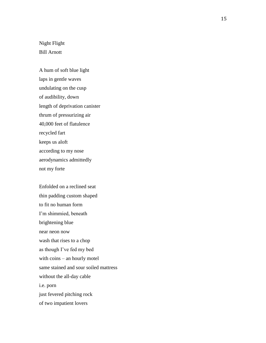Night Flight Bill Arnott

A hum of soft blue light laps in gentle waves undulating on the cusp of audibility, down length of deprivation canister thrum of pressurizing air 40,000 feet of flatulence recycled fart keeps us aloft according to my nose aerodynamics admittedly not my forte

Enfolded on a reclined seat thin padding custom shaped to fit no human form I'm shimmied, beneath brightening blue near neon now wash that rises to a chop as though I've fed my bed with coins – an hourly motel same stained and sour soiled mattress without the all-day cable i.e. porn just fevered pitching rock of two impatient lovers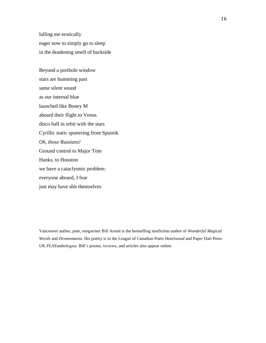lulling me erotically eager now to simply go to sleep in the deadening smell of backside

Beyond a porthole window stars are humming past same silent sound as our internal blue launched like Boney M aboard their flight to Venus disco ball in orbit with the stars Cyrillic static sputtering from Sputnik *Oh, those Russians!*  Ground control to Major Tom Hanks, to Houston we have a cataclysmic problem: everyone aboard, I fear just may have shit themselves

Vancouver author, poet, songwriter Bill Arnott is the bestselling nonfiction author of *Wonderful Magical Words* and *Dromomania*. His poetry is in the League of Canadian Poets *Heartwood* and Paper Dart Press UK *PLAY*anthologies. Bill's poems, reviews, and articles also appear online.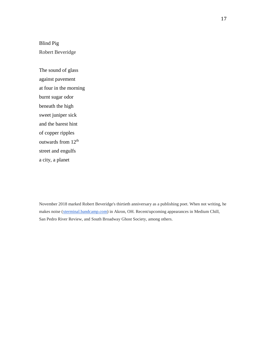Blind Pig Robert Beveridge

The sound of glass against pavement at four in the morning burnt sugar odor beneath the high sweet juniper sick and the barest hint of copper ripples outwards from 12<sup>th</sup> street and engulfs a city, a planet

November 2018 marked Robert Beveridge's thirtieth anniversary as a publishing poet. When not writing, he makes noise [\(xterminal.bandcamp.com\)](http://xterminal.bandcamp.com/) in Akron, OH. Recent/upcoming appearances in Medium Chill, San Pedro River Review, and South Broadway Ghost Society, among others.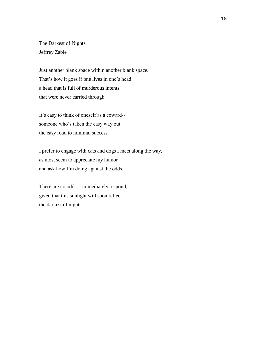The Darkest of Nights Jeffrey Zable

Just another blank space within another blank space. That's how it goes if one lives in one's head: a head that is full of murderous intents that were never carried through.

It's easy to think of oneself as a coward- someone who's taken the easy way out: the easy road to minimal success.

I prefer to engage with cats and dogs I meet along the way, as most seem to appreciate my humor and ask how I'm doing against the odds.

There are no odds, I immediately respond, given that this sunlight will soon reflect the darkest of nights. . .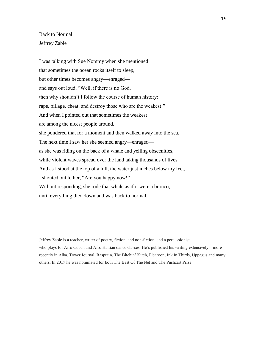Back to Normal Jeffrey Zable

I was talking with Sue Nommy when she mentioned that sometimes the ocean rocks itself to sleep, but other times becomes angry—enraged and says out loud, "Well, if there is no God, then why shouldn't I follow the course of human history: rape, pillage, cheat, and destroy those who are the weakest!" And when I pointed out that sometimes the weakest are among the nicest people around, she pondered that for a moment and then walked away into the sea. The next time I saw her she seemed angry—enraged as she was riding on the back of a whale and yelling obscenities, while violent waves spread over the land taking thousands of lives. And as I stood at the top of a hill, the water just inches below my feet, I shouted out to her, "Are you happy now!" Without responding, she rode that whale as if it were a bronco, until everything died down and was back to normal.

Jeffrey Zable is a teacher, writer of poetry, fiction, and non-fiction, and a percussionist who plays for Afro Cuban and Afro Haitian dance classes. He's published his writing extensively—more recently in Alba, Tower Journal, Rasputin, The Bitchin' Kitch, Picaroon, Ink In Thirds, Uppagus and many others. In 2017 he was nominated for both The Best Of The Net and The Pushcart Prize.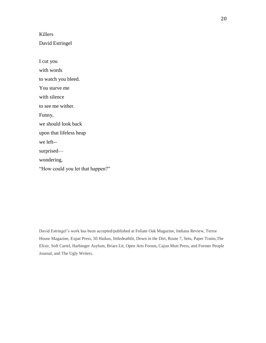### Killers

David Estringel

I cut you with words to watch you bleed. You starve me with silence to see me wither. Funny, we should look back upon that lifeless heap we left- surprised wondering, "How could you let that happen?"

David Estringel's work has been accepted/published at Foliate Oak Magazine, Indiana Review, Terror House Magazine, Expat Press, 50 Haikus, littledeathlit, Down in the Dirt, Route 7, Setu, Paper Trains,The Elixir, Soft Cartel, Harbinger Asylum, Briars Lit, Open Arts Forum, Cajun Mutt Press, and Former People Journal, and The Ugly Writers.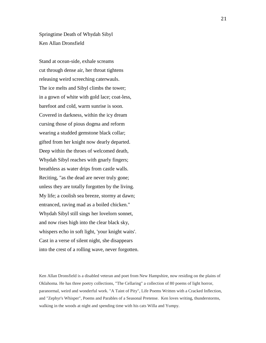Springtime Death of Whydah Sibyl Ken Allan Dronsfield

Stand at ocean-side, exhale screams cut through dense air, her throat tightens releasing weird screeching caterwauls. The ice melts and Sibyl climbs the tower; in a gown of white with gold lace; coat-less, barefoot and cold, warm sunrise is soon. Covered in darkness, within the icy dream cursing those of pious dogma and reform wearing a studded gemstone black collar; gifted from her knight now dearly departed. Deep within the throes of welcomed death, Whydah Sibyl reaches with gnarly fingers; breathless as water drips from castle walls. Reciting, "as the dead are never truly gone; unless they are totally forgotten by the living. My life; a coolish sea breeze, stormy at dawn; entranced, raving mad as a boiled chicken." Whydah Sibyl still sings her lovelorn sonnet, and now rises high into the clear black sky, whispers echo in soft light, 'your knight waits'. Cast in a verse of silent night, she disappears into the crest of a rolling wave, never forgotten.

Ken Allan Dronsfield is a disabled veteran and poet from New Hampshire, now residing on the plains of Oklahoma. He has three poetry collections, "The Cellaring" a collection of 80 poems of light horror, paranormal, weird and wonderful work. "A Taint of Pity", Life Poems Written with a Cracked Inflection, and "Zephyr's Whisper", Poems and Parables of a Seasonal Pretense. Ken loves writing, thunderstorms, walking in the woods at night and spending time with his cats Willa and Yumpy.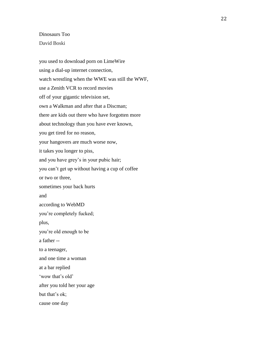Dinosaurs Too David Boski

you used to download porn on LimeWire using a dial-up internet connection, watch wrestling when the WWE was still the WWF, use a Zenith VCR to record movies off of your gigantic television set, own a Walkman and after that a Discman; there are kids out there who have forgotten more about technology than you have ever known, you get tired for no reason, your hangovers are much worse now, it takes you longer to piss, and you have grey's in your pubic hair; you can't get up without having a cup of coffee or two or three, sometimes your back hurts and according to WebMD you're completely fucked; plus, you're old enough to be a father - to a teenager, and one time a woman at a bar replied 'wow that's old' after you told her your age but that's ok; cause one day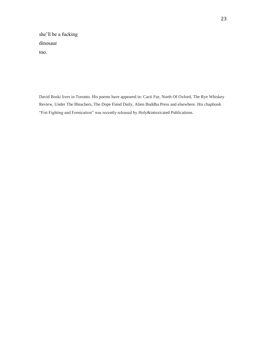she'll be a fucking dinosaur too.

David Boski lives in Toronto. His poems have appeared in: Cacti Fur, North Of Oxford, The Rye Whiskey Review, Under The Bleachers, The Dope Fiend Daily, Alien Buddha Press and elsewhere. His chapbook "Fist Fighting and Fornication" was recently released by Holy&intoxicated Publications.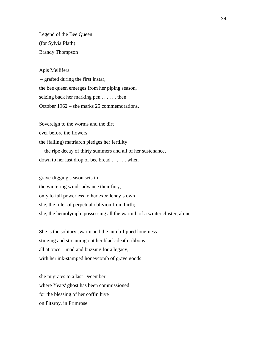Legend of the Bee Queen (for Sylvia Plath) Brandy Thompson

Apis Mellifera

– grafted during the first instar, the bee queen emerges from her piping season, seizing back her marking pen . . . . . . then October 1962 – she marks 25 commemorations.

Sovereign to the worms and the dirt ever before the flowers – the (falling) matriarch pledges her fertility – the ripe decay of thirty summers and all of her sustenance, down to her last drop of bee bread . . . . . . when

grave-digging season sets in  $$ the wintering winds advance their fury, only to fall powerless to her excellency's own – she, the ruler of perpetual oblivion from birth; she, the hemolymph, possessing all the warmth of a winter cluster, alone.

She is the solitary swarm and the numb-lipped lone-ness stinging and streaming out her black-death ribbons all at once – mad and buzzing for a legacy, with her ink-stamped honeycomb of grave goods

she migrates to a last December where Yeats' ghost has been commissioned for the blessing of her coffin hive on Fitzroy, in Primrose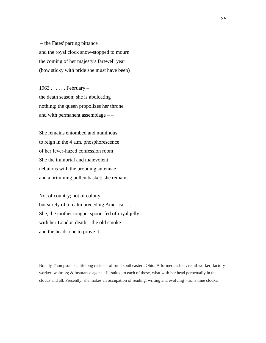– the Fates' parting pittance and the royal clock snow-stopped to mourn the coming of her majesty's farewell year (how sticky with pride she must have been)

 $1963 \ldots$ . . . . . February – the death season; she is abdicating nothing; the queen propolizes her throne and with permanent assemblage – –

She remains entombed and numinous to reign in the 4 a.m. phosphorescence of her fever-hazed confession room – – She the immortal and malevolent nebulous with the brooding antennae and a brimming pollen basket; she remains.

Not of country; not of colony but surely of a realm preceding America . . . She, the mother tongue, spoon-fed of royal jelly – with her London death – the old smoke – and the headstone to prove it.

Brandy Thompson is a lifelong resident of rural southeastern Ohio. A former cashier; retail worker; factory worker; waitress;  $\&$  insurance agent – ill-suited to each of these, what with her head perpetually in the clouds and all. Presently, she makes an occupation of reading, writing and evolving – *sans* time clocks.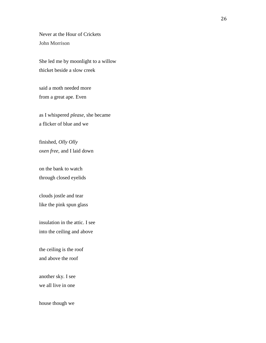Never at the Hour of Crickets John Morrison

She led me by moonlight to a willow thicket beside a slow creek

said a moth needed more from a great ape. Even

as I whispered *please*, she became a flicker of blue and we

finished, *Olly Olly oxen free*, and I laid down

on the bank to watch through closed eyelids

clouds jostle and tear like the pink spun glass

insulation in the attic. I see into the ceiling and above

the ceiling is the roof and above the roof

another sky. I see we all live in one

house though we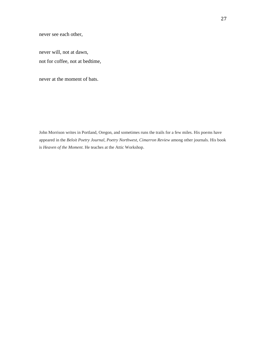never see each other,

never will, not at dawn, not for coffee, not at bedtime,

never at the moment of bats.

John Morrison writes in Portland, Oregon, and sometimes runs the trails for a few miles. His poems have appeared in the *Beloit Poetry Journal*, *Poetry Northwest*, *Cimarron Review* among other journals. His book is *Heaven of the Moment*. He teaches at the Attic Workshop.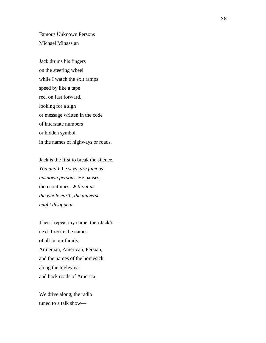Famous Unknown Persons Michael Minassian

Jack drums his fingers on the steering wheel while I watch the exit ramps speed by like a tape reel on fast forward, looking for a sign or message written in the code of interstate numbers or hidden symbol in the names of highways or roads.

Jack is the first to break the silence, *You and I,* he says, *are famous unknown persons.* He pauses, then continues, *Without us, the whole earth, the universe might disappear.*

Then I repeat my name, then Jack's next, I recite the names of all in our family, Armenian, American, Persian, and the names of the homesick along the highways and back roads of America.

We drive along, the radio tuned to a talk show—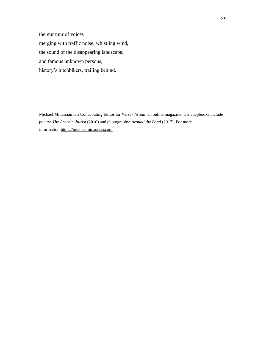the murmur of voices merging with traffic noise, whistling wind, the sound of the disappearing landscape, and famous unknown persons, history's hitchhikers, trailing behind.

Michael Minassian is a Contributing Editor for *Verse-Virtual*, an online magazine. His chapbooks include poetry: *The Arboriculturist* (2010) and photography: *Around the Bend* (2017). For more information[:https://michaelminassian.com](https://michaelminassian.com/)